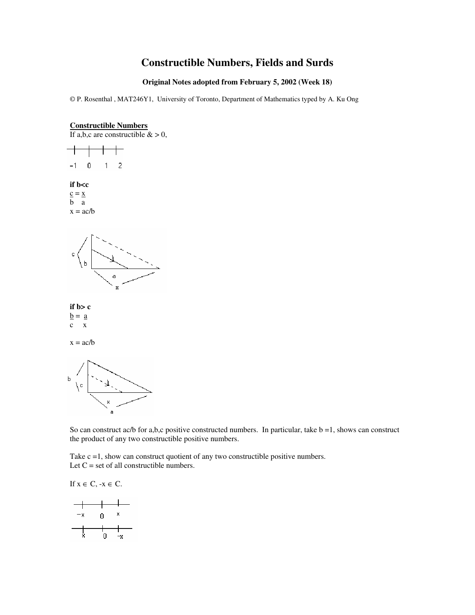# **Constructible Numbers, Fields and Surds**

#### **Original Notes adopted from February 5, 2002 (Week 18)**

© P. Rosenthal , MAT246Y1, University of Toronto, Department of Mathematics typed by A. Ku Ong

# **Constructible Numbers**



 $-1$  $\,0\,$  $\mathbf{1}$  $\overline{c}$ **if b<c**  $\underline{c} = \underline{x}$ b a  $x = ac/b$ 





 $\underline{b} = \underline{a}$ c x

 $x = ac/b$ 



So can construct ac/b for a,b,c positive constructed numbers. In particular, take  $b = 1$ , shows can construct the product of any two constructible positive numbers.

Take c =1, show can construct quotient of any two constructible positive numbers. Let  $C = set$  of all constructible numbers.

If  $x \in C$ ,  $-x \in C$ .

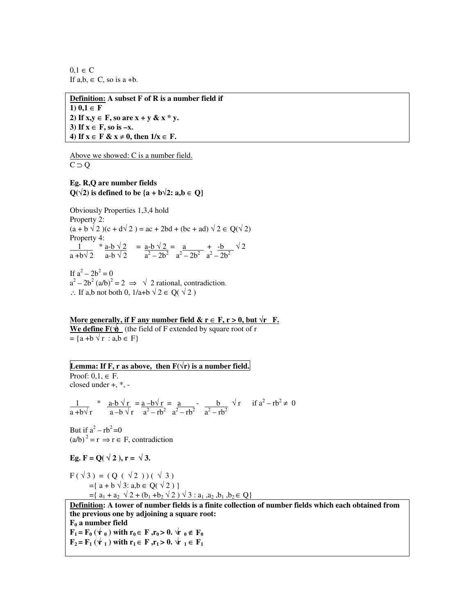$0.1 \in C$ If  $a,b \in C$ , so is  $a + b$ .

**Definition: A subset F of R is a number field if 1)**  $0.1 ∈ F$ 2) If  $x, y \in F$ , so are  $x + y \& x * y$ . **3) If x** ∈ **F, so is –x. 4) If x** ∈ **F & x** ≠ **0, then 1/x** ∈ **F.**

Above we showed: C is a number field.  $C \supset Q$ 

# **Eg. R,Q are number fields**  $Q(\sqrt{2})$  is defined to be  $\{a + b\sqrt{2} : a,b \in Q\}$

Obviously Properties 1,3,4 hold Property 2:  $(a + b \sqrt{2})(c + d\sqrt{2}) = ac + 2bd + (bc + ad) \sqrt{2} \in O(\sqrt{2})$ Property 4:  $\frac{1}{2}$  \* <u>a-b  $\sqrt{2}$ </u> = <u>a-b  $\sqrt{2}$ </u> = <u>a + -b</u>  $\sqrt{2}$  $a + b\sqrt{2}$   $a - b\sqrt{2}$   $a^2 - 2b^2$   $a^2 - 2b^2$   $a^2 - 2b^2$ 

If  $a^2 - 2b^2 = 0$  $a^2 - 2b^2 (a/b)^2 = 2 \implies \sqrt{2}$  rational, contradiction. ∴ If a,b not both 0,  $1/a+b \sqrt{2} \in Q(\sqrt{2})$ 

More generally, if **F** any number field & **r** ∈ **F**, **r** > 0, but  $\sqrt{\textbf{r}}$  **F**. **We define**  $\mathbf{F}(\hat{\mathbf{Y}})$  (the field of F extended by square root of r  $= {a + b \sqrt{r} : a,b \in F}$ 

# **Lemma:** If  $F$ ,  $r$  as above, then  $F(\sqrt{r})$  is a number field.

Proof:  $0.1 \in F$ . closed under +, \*, -

1 \*  $a-b\sqrt{r} = a-b\sqrt{r} = a$  - b  $\sqrt{r}$  if  $a^2 - rb^2 \neq 0$  $a + b\sqrt{r}$   $a - b\sqrt{r}$   $a^2 - rb^2$   $a^2 - rb^2$   $a^2 - rb^2$ 

But if  $a^2 - rb^2 = 0$  $(a/b)^2 = r \Rightarrow r \in F$ , contradiction

Eg.  $F = Q(\sqrt{2})$ ,  $r = \sqrt{3}$ .

 $F(\sqrt{3}) = (Q(\sqrt{2}))( \sqrt{3})$  $=\{ a + b \sqrt{3} : a,b \in Q(\sqrt{2}) \}$  $= \{ a_1 + a_2 \sqrt{2} + (b_1 + b_2 \sqrt{2}) \sqrt{3} : a_1, a_2, b_1, b_2 \in Q \}$ 

**Definition: A tower of number fields is a finite collection of number fields which each obtained from the previous one by adjoining a square root: F<sup>0</sup> a number field**

**F**<sub>1</sub> **= F**<sub>0</sub> ( $\forall$ **r**<sub>0</sub>  $\neq$  **D**<sub>0</sub>  $\forall$ **E**<sub>0</sub>  $\neq$  **D**<sub>0</sub>  $\notin$  **F**<sub>0</sub>  $\mathbf{F}_2 = \mathbf{F}_1 \left( \mathbf{\hat{V}}_1 \right)$  with  $\mathbf{r}_1 \in \mathbf{F}$ ,  $\mathbf{r}_1 > 0$ .  $\mathbf{\hat{V}}_1 \in \mathbf{F}_1$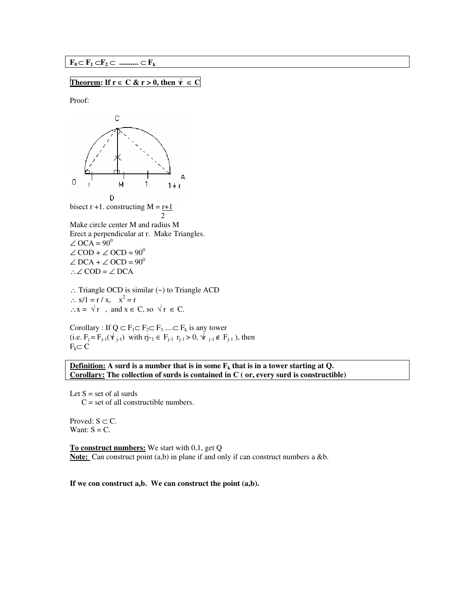#### $\mathbf{F}_0 \subset \mathbf{F}_1 \subset \mathbf{F}_2 \subset \dots \subset \mathbf{F}_k$

### **Theorem:** If  $r \in C$  &  $r > 0$ , then  $\forall \in C$

Proof:



∴ Triangle OCD is similar (~) to Triangle ACD  $\therefore$  x/1 = r / x, x<sup>2</sup> = r ∴ $x = \sqrt{r}$ , and  $x \in C$ , so  $\sqrt{r} \in C$ .

Corollary : If  $Q \subset F_1 \subset F_2 \subset F_3$  ....  $\subset F_k$  is any tower  $(i.e. F_i = F_{i-1}(\vec{Y}_{i-1})$  with  $r_{i-1} \in F_{i-1}$   $r_{i-1} > 0$ ,  $\vec{Y}_{i-1} \notin F_{i-1}$ , then  $F_k \subset C$ 

**Definition: A surd is a number that is in some F<sup>k</sup> that is in a tower starting at Q. Corollary: The collection of surds is contained in C ( or, every surd is constructible)**

Let  $S = set of al surds$  $C = set of all constructible numbers.$ 

Proved:  $S \subset C$ . Want:  $S = C$ .

**To construct numbers:** We start with 0,1, get Q Note: Can construct point (a,b) in plane if and only if can construct numbers a &b.

**If we con construct a,b. We can construct the point (a,b).**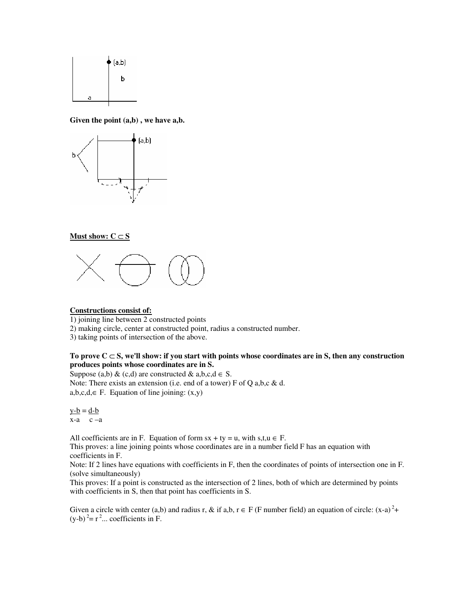

**Given the point (a,b) , we have a,b.**



#### **Must show:**  $C ⊂ S$



#### **Constructions consist of:**

1) joining line between 2 constructed points

2) making circle, center at constructed point, radius a constructed number.

3) taking points of intersection of the above.

#### **To prove C** ⊂ **S, we'll show: if you start with points whose coordinates are in S, then any construction produces points whose coordinates are in S.**

Suppose (a,b) & (c,d) are constructed & a,b,c,d  $\in$  S. Note: There exists an extension (i.e. end of a tower) F of Q a,b,c & d.  $a,b,c,d \in F$ . Equation of line joining:  $(x,y)$ 

 $y-b = d-b$  $x-a$   $c -a$ 

All coefficients are in F. Equation of form  $sx + ty = u$ , with  $s, t, u \in F$ . This proves: a line joining points whose coordinates are in a number field F has an equation with

coefficients in F.

Note: If 2 lines have equations with coefficients in F, then the coordinates of points of intersection one in F. (solve simultaneously)

This proves: If a point is constructed as the intersection of 2 lines, both of which are determined by points with coefficients in S, then that point has coefficients in S.

Given a circle with center (a,b) and radius r, & if a,b,  $r \in F$  (F number field) an equation of circle:  $(x-a)^2$ +  $(y-b)^2 = r^2$ ... coefficients in F.